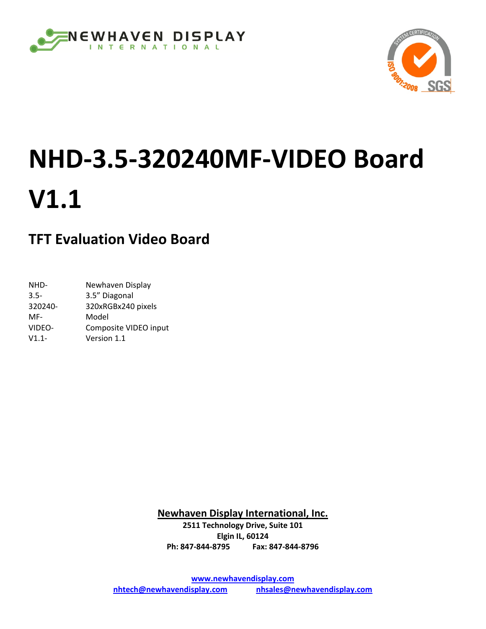



# **NHD‐3.5‐320240MF‐VIDEO Board V1.1**

# **TFT Evaluation Video Board**

| NHD-     | Newhaven Display      |
|----------|-----------------------|
| $3.5 -$  | 3.5" Diagonal         |
| 320240-  | 320xRGBx240 pixels    |
| MF-      | Model                 |
| VIDEO-   | Composite VIDEO input |
| $V1.1 -$ | Version 1.1           |
|          |                       |

**Newhaven Display International, Inc.**

**2511 Technology Drive, Suite 101 Elgin IL, 60124 Ph: 847‐844‐8795 Fax: 847‐844‐8796**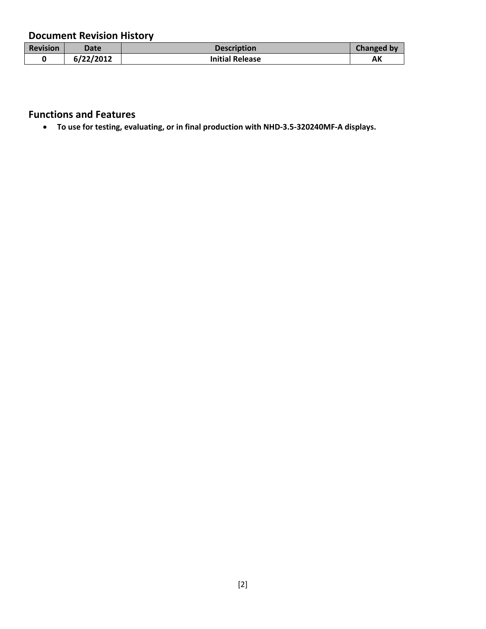## **Document Revision History**

| <b>Revision</b> | Date      | <b>Description</b>     | <b>Changed by</b> |
|-----------------|-----------|------------------------|-------------------|
|                 | 6/22/2012 | <b>Initial Release</b> | AK                |

#### **Functions and Features**

• **To use for testing, evaluating, or in final production with NHD‐3.5‐320240MF‐A displays.**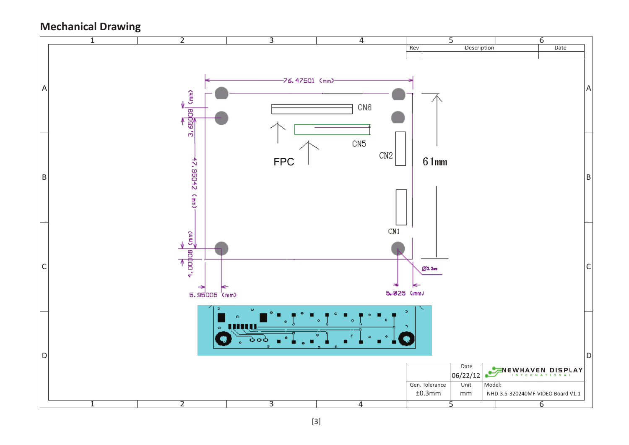# **Mechanical Drawing**

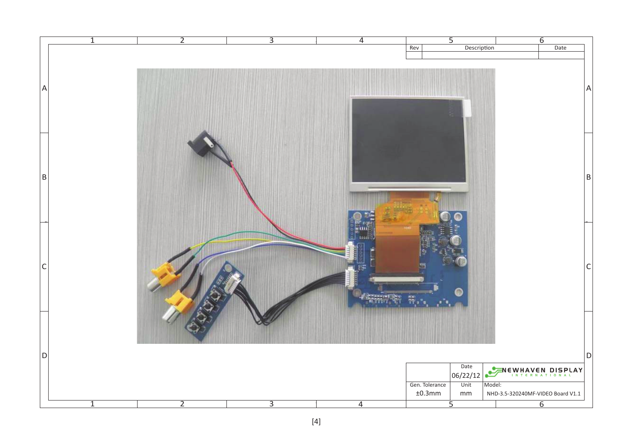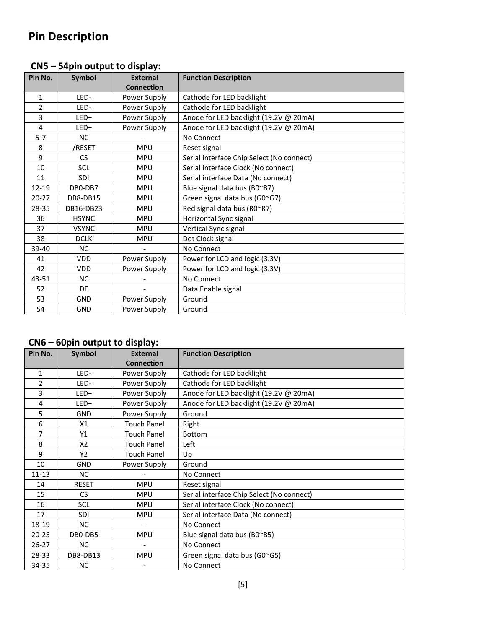| Pin No.   | Symbol       | <b>External</b>   | <b>Function Description</b>               |
|-----------|--------------|-------------------|-------------------------------------------|
|           |              | <b>Connection</b> |                                           |
| 1         | LED-         | Power Supply      | Cathode for LED backlight                 |
| 2         | LED-         | Power Supply      | Cathode for LED backlight                 |
| 3         | LED+         | Power Supply      | Anode for LED backlight (19.2V @ 20mA)    |
| 4         | LED+         | Power Supply      | Anode for LED backlight (19.2V @ 20mA)    |
| $5 - 7$   | <b>NC</b>    |                   | No Connect                                |
| 8         | /RESET       | <b>MPU</b>        | Reset signal                              |
| 9         | <b>CS</b>    | <b>MPU</b>        | Serial interface Chip Select (No connect) |
| 10        | <b>SCL</b>   | <b>MPU</b>        | Serial interface Clock (No connect)       |
| 11        | <b>SDI</b>   | <b>MPU</b>        | Serial interface Data (No connect)        |
| 12-19     | DB0-DB7      | <b>MPU</b>        | Blue signal data bus (B0~B7)              |
| $20 - 27$ | DB8-DB15     | <b>MPU</b>        | Green signal data bus (G0~G7)             |
| 28-35     | DB16-DB23    | <b>MPU</b>        | Red signal data bus (RO~R7)               |
| 36        | <b>HSYNC</b> | <b>MPU</b>        | Horizontal Sync signal                    |
| 37        | <b>VSYNC</b> | <b>MPU</b>        | Vertical Sync signal                      |
| 38        | <b>DCLK</b>  | <b>MPU</b>        | Dot Clock signal                          |
| 39-40     | <b>NC</b>    |                   | No Connect                                |
| 41        | <b>VDD</b>   | Power Supply      | Power for LCD and logic (3.3V)            |
| 42        | <b>VDD</b>   | Power Supply      | Power for LCD and logic (3.3V)            |
| 43-51     | <b>NC</b>    |                   | No Connect                                |
| 52        | DE           |                   | Data Enable signal                        |
| 53        | <b>GND</b>   | Power Supply      | Ground                                    |
| 54        | <b>GND</b>   | Power Supply      | Ground                                    |

#### **CN5 – 54pin output to display:**

## **CN6 – 60pin output to display:**

| Pin No.   | Symbol         | <b>External</b>    | <b>Function Description</b>               |
|-----------|----------------|--------------------|-------------------------------------------|
|           |                | <b>Connection</b>  |                                           |
| 1         | LED-           | Power Supply       | Cathode for LED backlight                 |
| 2         | LED-           | Power Supply       | Cathode for LED backlight                 |
| 3         | LED+           | Power Supply       | Anode for LED backlight (19.2V @ 20mA)    |
| 4         | LED+           | Power Supply       | Anode for LED backlight (19.2V @ 20mA)    |
| 5         | <b>GND</b>     | Power Supply       | Ground                                    |
| 6         | X1             | <b>Touch Panel</b> | Right                                     |
| 7         | Υ1             | <b>Touch Panel</b> | Bottom                                    |
| 8         | X <sub>2</sub> | <b>Touch Panel</b> | Left                                      |
| 9         | Y2             | <b>Touch Panel</b> | Up                                        |
| 10        | <b>GND</b>     | Power Supply       | Ground                                    |
| $11 - 13$ | <b>NC</b>      |                    | No Connect                                |
| 14        | <b>RESET</b>   | <b>MPU</b>         | Reset signal                              |
| 15        | CS             | <b>MPU</b>         | Serial interface Chip Select (No connect) |
| 16        | <b>SCL</b>     | <b>MPU</b>         | Serial interface Clock (No connect)       |
| 17        | <b>SDI</b>     | <b>MPU</b>         | Serial interface Data (No connect)        |
| 18-19     | <b>NC</b>      |                    | No Connect                                |
| $20 - 25$ | DB0-DB5        | <b>MPU</b>         | Blue signal data bus (B0~B5)              |
| $26-27$   | <b>NC</b>      |                    | No Connect                                |
| 28-33     | DB8-DB13       | <b>MPU</b>         | Green signal data bus (G0~G5)             |
| 34-35     | <b>NC</b>      |                    | No Connect                                |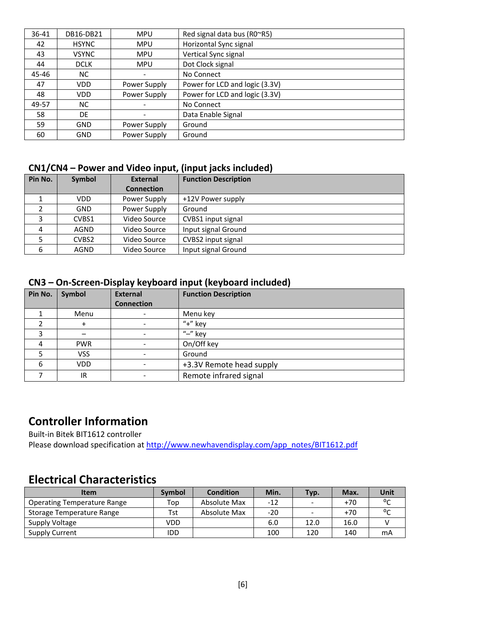| $36 - 41$ | DB16-DB21    | <b>MPU</b>   | Red signal data bus (RO~R5)    |
|-----------|--------------|--------------|--------------------------------|
| 42        | <b>HSYNC</b> | <b>MPU</b>   | Horizontal Sync signal         |
| 43        | <b>VSYNC</b> | <b>MPU</b>   | Vertical Sync signal           |
| 44        | <b>DCLK</b>  | <b>MPU</b>   | Dot Clock signal               |
| 45-46     | NC.          |              | No Connect                     |
| 47        | <b>VDD</b>   | Power Supply | Power for LCD and logic (3.3V) |
| 48        | <b>VDD</b>   | Power Supply | Power for LCD and logic (3.3V) |
| 49-57     | NC.          |              | No Connect                     |
| 58        | DE           |              | Data Enable Signal             |
| 59        | <b>GND</b>   | Power Supply | Ground                         |
| 60        | GND          | Power Supply | Ground                         |

#### **CN1/CN4 – Power and Video input, (input jacks included)**

| Pin No.                  | Symbol            | <b>External</b>   | <b>Function Description</b> |
|--------------------------|-------------------|-------------------|-----------------------------|
|                          |                   | <b>Connection</b> |                             |
|                          | VDD.              | Power Supply      | +12V Power supply           |
| $\overline{\phantom{a}}$ | <b>GND</b>        | Power Supply      | Ground                      |
| 3                        | CVBS1             | Video Source      | CVBS1 input signal          |
| 4                        | AGND              | Video Source      | Input signal Ground         |
|                          | CVBS <sub>2</sub> | Video Source      | CVBS2 input signal          |
| 6                        | AGND              | Video Source      | Input signal Ground         |

#### **CN3 – On‐Screen‐Display keyboard input (keyboard included)**

| Pin No. | Symbol     | <b>External</b><br><b>Connection</b> | <b>Function Description</b> |
|---------|------------|--------------------------------------|-----------------------------|
|         | Menu       |                                      | Menu key                    |
|         | $\ddot{}$  |                                      | $"+"$ key                   |
|         |            |                                      | " $-$ " key                 |
|         | <b>PWR</b> |                                      | On/Off key                  |
|         | <b>VSS</b> |                                      | Ground                      |
| 6       | <b>VDD</b> | $\overline{\phantom{a}}$             | +3.3V Remote head supply    |
|         | IR         |                                      | Remote infrared signal      |

# **Controller Information**

Built‐in Bitek BIT1612 controller

Please download specification at http://www.newhavendisplay.com/app\_notes/BIT1612.pdf

# **Electrical Characteristics**

| <b>Item</b>                        | Symbol | <b>Condition</b> | Min.  | Typ.                     | Max.  | Unit                         |
|------------------------------------|--------|------------------|-------|--------------------------|-------|------------------------------|
| <b>Operating Temperature Range</b> | Top    | Absolute Max     | -12   | $\overline{\phantom{a}}$ | $+70$ | $\mathfrak{o}_{\mathcal{C}}$ |
| Storage Temperature Range          | Tst    | Absolute Max     | $-20$ | $\overline{\phantom{a}}$ | $+70$ | $\mathfrak{o}_{\mathcal{C}}$ |
| Supply Voltage                     | VDD    |                  | 6.0   | 12.0                     | 16.0  |                              |
| Supply Current                     | IDD    |                  | 100   | 120                      | 140   | mA                           |